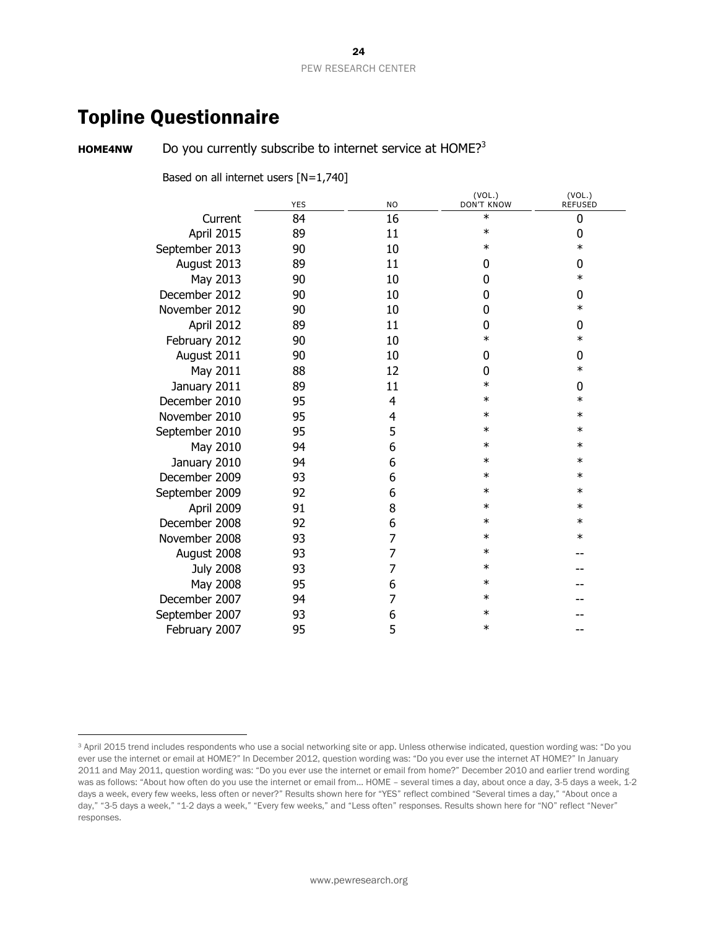# Topline Questionnaire

 $\overline{a}$ 

**HOME4NW** Do you currently subscribe to internet service at HOME?<sup>3</sup>

Based on all internet users [N=1,740]

|                  | <b>YES</b> | <b>NO</b>      | (VOL.)<br><b>DON'T KNOW</b> | (VOL.)<br><b>REFUSED</b> |
|------------------|------------|----------------|-----------------------------|--------------------------|
| Current          | 84         | 16             | $\ast$                      | 0                        |
| April 2015       | 89         | 11             | $\ast$                      | 0                        |
| September 2013   | 90         | 10             | $\ast$                      | $\ast$                   |
| August 2013      | 89         | 11             | 0                           | 0                        |
| May 2013         | 90         | 10             | 0                           | $\ast$                   |
| December 2012    | 90         | 10             | 0                           | 0                        |
| November 2012    | 90         | 10             | 0                           | $\ast$                   |
| April 2012       | 89         | 11             | 0                           | 0                        |
| February 2012    | 90         | 10             | $\ast$                      | $\ast$                   |
| August 2011      | 90         | 10             | 0                           | 0                        |
| May 2011         | 88         | 12             | 0                           | $\ast$                   |
| January 2011     | 89         | 11             | $\ast$                      | 0                        |
| December 2010    | 95         | 4              | $\ast$                      | $\ast$                   |
| November 2010    | 95         | 4              | ∗                           | $\ast$                   |
| September 2010   | 95         | 5              | $\ast$                      | $\ast$                   |
| May 2010         | 94         | 6              | $\ast$                      | $\ast$                   |
| January 2010     | 94         | 6              | $\ast$                      | $\ast$                   |
| December 2009    | 93         | 6              | $\ast$                      | $\ast$                   |
| September 2009   | 92         | 6              | $\ast$                      | $\ast$                   |
| April 2009       | 91         | 8              | $\ast$                      | $\ast$                   |
| December 2008    | 92         | 6              | $\ast$                      | $\ast$                   |
| November 2008    | 93         | 7              | $\ast$                      | $\ast$                   |
| August 2008      | 93         | 7              | ∗                           |                          |
| <b>July 2008</b> | 93         | 7              | $\ast$                      |                          |
| May 2008         | 95         | 6              | $\ast$                      |                          |
| December 2007    | 94         | $\overline{7}$ | $\ast$                      |                          |
| September 2007   | 93         | 6              | $\ast$                      |                          |
| February 2007    | 95         | 5              | $\ast$                      |                          |
|                  |            |                |                             |                          |

<sup>&</sup>lt;sup>3</sup> April 2015 trend includes respondents who use a social networking site or app. Unless otherwise indicated, question wording was: "Do you ever use the internet or email at HOME?" In December 2012, question wording was: "Do you ever use the internet AT HOME?" In January 2011 and May 2011, question wording was: "Do you ever use the internet or email from home?" December 2010 and earlier trend wording was as follows: "About how often do you use the internet or email from... HOME – several times a day, about once a day, 3-5 days a week, 1-2 days a week, every few weeks, less often or never?" Results shown here for "YES" reflect combined "Several times a day," "About once a day," "3-5 days a week," "1-2 days a week," "Every few weeks," and "Less often" responses. Results shown here for "NO" reflect "Never" responses.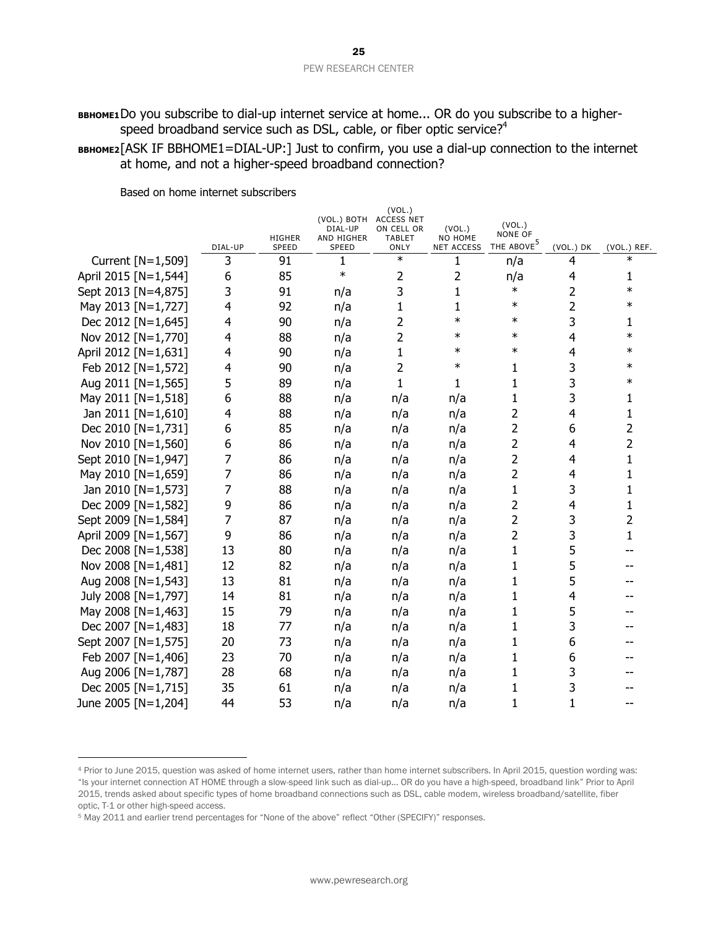BBHOME1Do you subscribe to dial-up internet service at home... OR do you subscribe to a higherspeed broadband service such as DSL, cable, or fiber optic service? $4^4$ 

**BBHOME2**[ASK IF BBHOME1=DIAL-UP:] Just to confirm, you use a dial-up connection to the internet at home, and not a higher-speed broadband connection?

|                      |              | <b>HIGHER</b> | (VOL.) BOTH ACCESS NET<br>DIAL-UP<br>AND HIGHER | (VOL.)<br>ON CELL OR<br><b>TABLET</b> | (VOL.)<br>NO HOME      | (VOL.)<br><b>NONE OF</b><br>THE ABOVE <sup>5</sup> |                |                       |
|----------------------|--------------|---------------|-------------------------------------------------|---------------------------------------|------------------------|----------------------------------------------------|----------------|-----------------------|
| Current [N=1,509]    | DIAL-UP<br>3 | SPEED<br>91   | <b>SPEED</b><br>1                               | ONLY<br>$\ast$                        | <b>NET ACCESS</b><br>1 | n/a                                                | (VOL.) DK<br>4 | (VOL.) REF.<br>$\ast$ |
| April 2015 [N=1,544] | 6            | 85            | $\ast$                                          | 2                                     | 2                      | n/a                                                | 4              | 1                     |
| Sept 2013 [N=4,875]  | 3            | 91            | n/a                                             | 3                                     | 1                      | $\ast$                                             | 2              | $\ast$                |
| May 2013 [N=1,727]   | 4            | 92            | n/a                                             | $\mathbf 1$                           | $\mathbf{1}$           | $\ast$                                             | $\overline{2}$ | $\ast$                |
| Dec 2012 [N=1,645]   | 4            | 90            | n/a                                             | 2                                     | $\ast$                 | $\ast$                                             | 3              | 1                     |
| Nov 2012 [N=1,770]   | 4            | 88            | n/a                                             | $\overline{2}$                        | $\ast$                 | $\ast$                                             | $\overline{4}$ | $\ast$                |
| April 2012 [N=1,631] | 4            | 90            | n/a                                             | $\mathbf{1}$                          | $\ast$                 | $\ast$                                             | 4              | $\ast$                |
| Feb 2012 [N=1,572]   | 4            | 90            | n/a                                             | 2                                     | $\ast$                 | 1                                                  | 3              | $\ast$                |
| Aug 2011 [N=1,565]   | 5            | 89            | n/a                                             | $\mathbf{1}$                          | 1                      | 1                                                  | 3              | $\ast$                |
| May 2011 [N=1,518]   | 6            | 88            | n/a                                             | n/a                                   | n/a                    | 1                                                  | 3              | 1                     |
| Jan 2011 [N=1,610]   | 4            | 88            | n/a                                             | n/a                                   | n/a                    | 2                                                  | 4              | 1                     |
| Dec 2010 [N=1,731]   | 6            | 85            | n/a                                             | n/a                                   | n/a                    | $\overline{2}$                                     | 6              | 2                     |
| Nov 2010 [N=1,560]   | 6            | 86            | n/a                                             | n/a                                   | n/a                    | 2                                                  | 4              | 2                     |
| Sept 2010 [N=1,947]  | 7            | 86            | n/a                                             | n/a                                   | n/a                    | 2                                                  | 4              | 1                     |
| May 2010 [N=1,659]   | 7            | 86            | n/a                                             | n/a                                   | n/a                    | $\overline{2}$                                     | 4              | 1                     |
| Jan 2010 [N=1,573]   | 7            | 88            | n/a                                             | n/a                                   | n/a                    | 1                                                  | 3              | 1                     |
| Dec 2009 [N=1,582]   | 9            | 86            | n/a                                             | n/a                                   | n/a                    | 2                                                  | 4              | 1                     |
| Sept 2009 [N=1,584]  | 7            | 87            | n/a                                             | n/a                                   | n/a                    | 2                                                  | 3              | 2                     |
| April 2009 [N=1,567] | 9            | 86            | n/a                                             | n/a                                   | n/a                    | 2                                                  | 3              | 1                     |
| Dec 2008 [N=1,538]   | 13           | 80            | n/a                                             | n/a                                   | n/a                    | 1                                                  | 5              |                       |
| Nov 2008 [N=1,481]   | 12           | 82            | n/a                                             | n/a                                   | n/a                    | 1                                                  | 5              |                       |
| Aug 2008 [N=1,543]   | 13           | 81            | n/a                                             | n/a                                   | n/a                    | 1                                                  | 5              |                       |
| July 2008 [N=1,797]  | 14           | 81            | n/a                                             | n/a                                   | n/a                    | 1                                                  | 4              |                       |
| May 2008 [N=1,463]   | 15           | 79            | n/a                                             | n/a                                   | n/a                    | 1                                                  | 5              |                       |
| Dec 2007 [N=1,483]   | 18           | 77            | n/a                                             | n/a                                   | n/a                    | 1                                                  | 3              |                       |
| Sept 2007 [N=1,575]  | 20           | 73            | n/a                                             | n/a                                   | n/a                    | 1                                                  | 6              |                       |
| Feb 2007 [N=1,406]   | 23           | 70            | n/a                                             | n/a                                   | n/a                    | 1                                                  | 6              |                       |
| Aug 2006 [N=1,787]   | 28           | 68            | n/a                                             | n/a                                   | n/a                    | 1                                                  | 3              |                       |
| Dec 2005 [N=1,715]   | 35           | 61            | n/a                                             | n/a                                   | n/a                    | 1                                                  | 3              |                       |
| June 2005 [N=1,204]  | 44           | 53            | n/a                                             | n/a                                   | n/a                    | 1                                                  | $\mathbf{1}$   |                       |
|                      |              |               |                                                 |                                       |                        |                                                    |                |                       |

Based on home internet subscribers

 $\overline{a}$ 

<sup>4</sup> Prior to June 2015, question was asked of home internet users, rather than home internet subscribers. In April 2015, question wording was: "Is your internet connection AT HOME through a slow-speed link such as dial-up... OR do you have a high-speed, broadband link" Prior to April 2015, trends asked about specific types of home broadband connections such as DSL, cable modem, wireless broadband/satellite, fiber optic, T-1 or other high-speed access.

<sup>5</sup> May 2011 and earlier trend percentages for "None of the above" reflect "Other (SPECIFY)" responses.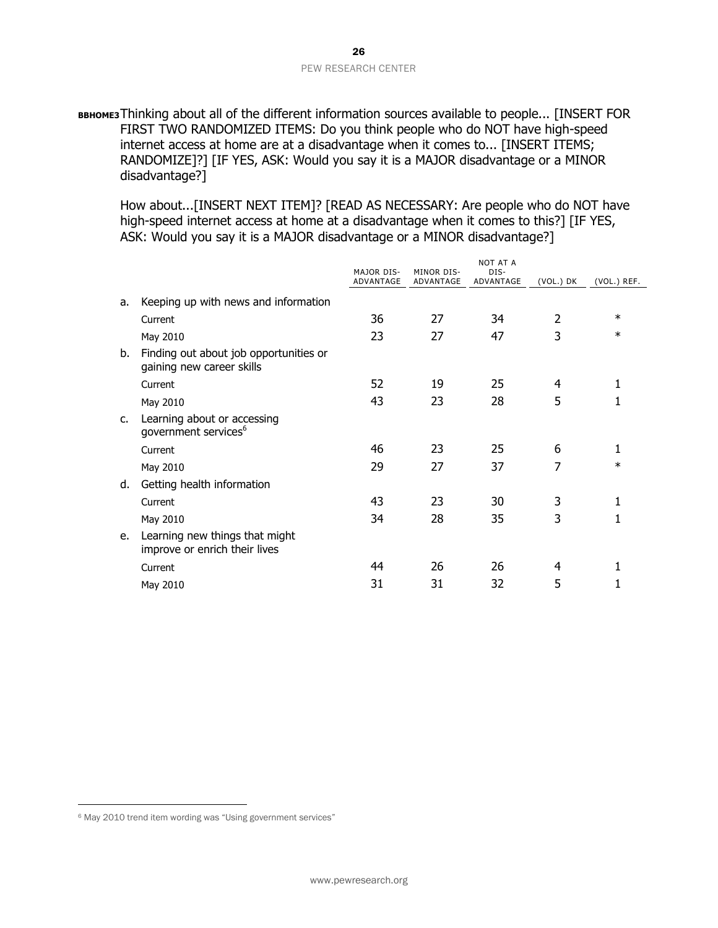#### 26 PEW RESEARCH CENTER

**BBHOME3**Thinking about all of the different information sources available to people... [INSERT FOR FIRST TWO RANDOMIZED ITEMS: Do you think people who do NOT have high-speed internet access at home are at a disadvantage when it comes to... [INSERT ITEMS; RANDOMIZE]?] [IF YES, ASK: Would you say it is a MAJOR disadvantage or a MINOR disadvantage?]

How about...[INSERT NEXT ITEM]? [READ AS NECESSARY: Are people who do NOT have high-speed internet access at home at a disadvantage when it comes to this?] [IF YES, ASK: Would you say it is a MAJOR disadvantage or a MINOR disadvantage?]

|                |                                                                     | <b>MAJOR DIS-</b><br>ADVANTAGE | MINOR DIS-<br>ADVANTAGE | <b>NOT AT A</b><br>DIS-<br>ADVANTAGE | (VOL.) DK      | (VOL.) REF. |
|----------------|---------------------------------------------------------------------|--------------------------------|-------------------------|--------------------------------------|----------------|-------------|
| а.             | Keeping up with news and information                                |                                |                         |                                      |                |             |
|                | Current                                                             | 36                             | 27                      | 34                                   | 2              | $\ast$      |
|                | May 2010                                                            | 23                             | 27                      | 47                                   | 3              | $\ast$      |
| b.             | Finding out about job opportunities or<br>gaining new career skills |                                |                         |                                      |                |             |
|                | Current                                                             | 52                             | 19                      | 25                                   | 4              | 1           |
|                | May 2010                                                            | 43                             | 23                      | 28                                   | 5              | 1           |
| $\mathsf{C}$ . | Learning about or accessing<br>government services <sup>6</sup>     |                                |                         |                                      |                |             |
|                | Current                                                             | 46                             | 23                      | 25                                   | 6              | 1           |
|                | May 2010                                                            | 29                             | 27                      | 37                                   | $\overline{7}$ | $\ast$      |
| d.             | Getting health information                                          |                                |                         |                                      |                |             |
|                | Current                                                             | 43                             | 23                      | 30                                   | 3              | 1           |
|                | May 2010                                                            | 34                             | 28                      | 35                                   | 3              | 1           |
| e.             | Learning new things that might<br>improve or enrich their lives     |                                |                         |                                      |                |             |
|                | Current                                                             | 44                             | 26                      | 26                                   | 4              | 1           |
|                | May 2010                                                            | 31                             | 31                      | 32                                   | 5              |             |

l

<sup>6</sup> May 2010 trend item wording was "Using government services"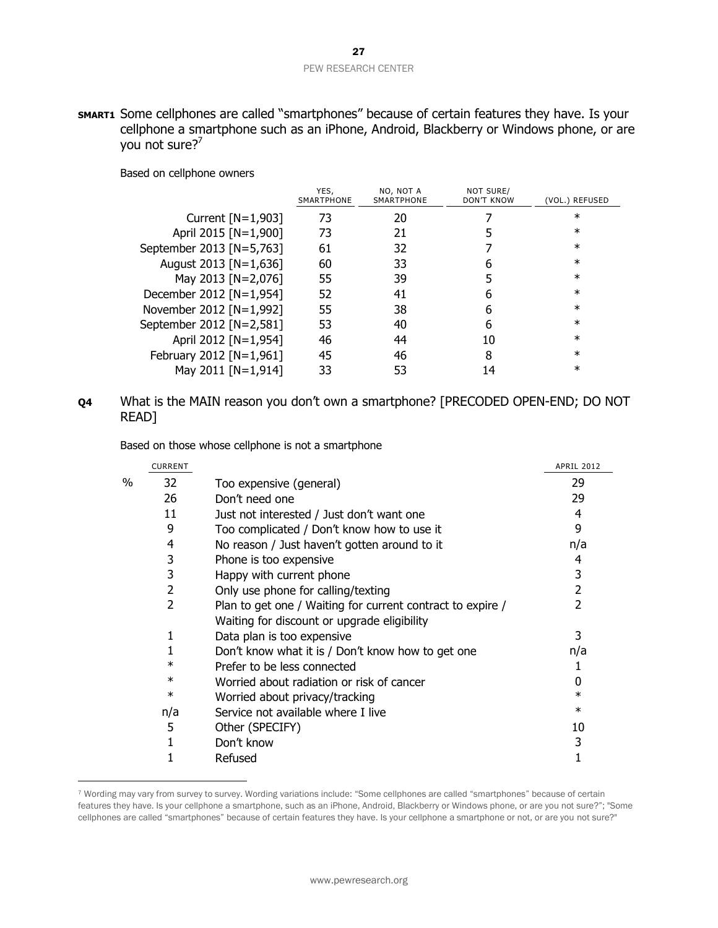**SMART1** Some cellphones are called "smartphones" because of certain features they have. Is your cellphone a smartphone such as an iPhone, Android, Blackberry or Windows phone, or are you not sure?<sup>7</sup>

Based on cellphone owners

 $\overline{a}$ 

|                          | YES.<br>SMARTPHONE | NO, NOT A<br><b>SMARTPHONE</b> | NOT SURE/<br><b>DON'T KNOW</b> | (VOL.) REFUSED |
|--------------------------|--------------------|--------------------------------|--------------------------------|----------------|
| Current $[N=1,903]$      | 73                 | 20                             |                                | $\ast$         |
| April 2015 [N=1,900]     | 73                 | 21                             |                                | $^\ast$        |
| September 2013 [N=5,763] | 61                 | 32                             |                                | $^\ast$        |
| August 2013 [N=1,636]    | 60                 | 33                             | 6                              | $^\ast$        |
| May 2013 [N=2,076]       | 55                 | 39                             |                                | $^\ast$        |
| December 2012 [N=1,954]  | 52                 | 41                             | 6                              | $^\ast$        |
| November 2012 [N=1,992]  | 55                 | 38                             | 6                              | $^\ast$        |
| September 2012 [N=2,581] | 53                 | 40                             | 6                              | $^\ast$        |
| April 2012 [N=1,954]     | 46                 | 44                             | 10                             | $\ast$         |
| February 2012 [N=1,961]  | 45                 | 46                             | 8                              | $\ast$         |
| May 2011 [N=1,914]       | 33                 | 53                             | 14                             | $\ast$         |

### **Q4** What is the MAIN reason you don't own a smartphone? [PRECODED OPEN-END; DO NOT READ]

Based on those whose cellphone is not a smartphone

| <b>CURRENT</b> |                                                            | <b>APRIL 2012</b> |
|----------------|------------------------------------------------------------|-------------------|
| 32             | Too expensive (general)                                    | 29                |
| 26             | Don't need one                                             | 29                |
| 11             | Just not interested / Just don't want one                  | 4                 |
| 9              | Too complicated / Don't know how to use it                 | 9                 |
| 4              | No reason / Just haven't gotten around to it               | n/a               |
| 3              | Phone is too expensive                                     | 4                 |
| 3              | Happy with current phone                                   | 3                 |
| 2              | Only use phone for calling/texting                         | 2                 |
| 2              | Plan to get one / Waiting for current contract to expire / | 2                 |
|                | Waiting for discount or upgrade eligibility                |                   |
|                | Data plan is too expensive                                 | 3                 |
|                | Don't know what it is / Don't know how to get one          | n/a               |
| $\ast$         | Prefer to be less connected                                |                   |
| $\ast$         | Worried about radiation or risk of cancer                  |                   |
| $\ast$         | Worried about privacy/tracking                             | $\ast$            |
| n/a            | Service not available where I live                         | $\ast$            |
| 5              | Other (SPECIFY)                                            | 10                |
|                | Don't know                                                 | 3                 |
|                | Refused                                                    |                   |
|                |                                                            |                   |

<sup>7</sup> Wording may vary from survey to survey. Wording variations include: "Some cellphones are called "smartphones" because of certain features they have. Is your cellphone a smartphone, such as an iPhone, Android, Blackberry or Windows phone, or are you not sure?"; "Some cellphones are called "smartphones" because of certain features they have. Is your cellphone a smartphone or not, or are you not sure?"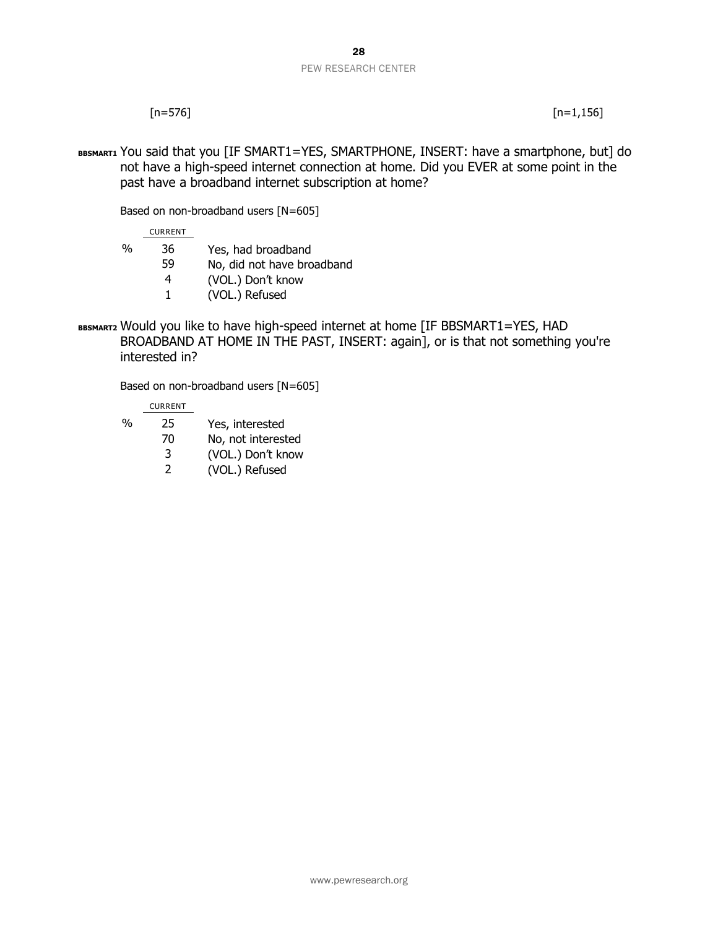#### 28 PEW RESEARCH CENTER

 $[n=576]$   $[n=1,156]$ 

BBSMART1 You said that you [IF SMART1=YES, SMARTPHONE, INSERT: have a smartphone, but] do not have a high-speed internet connection at home. Did you EVER at some point in the past have a broadband internet subscription at home?

Based on non-broadband users [N=605]

CURRENT

- % 36 Yes, had broadband
	- 59 No, did not have broadband
		- 4 (VOL.) Don't know
		- 1 (VOL.) Refused
- **BBSMART2** Would you like to have high-speed internet at home [IF BBSMART1=YES, HAD BROADBAND AT HOME IN THE PAST, INSERT: again], or is that not something you're interested in?

Based on non-broadband users [N=605]

CURRENT

- % 25 Yes, interested
	- 70 No, not interested
	- 3 (VOL.) Don't know
	- 2 (VOL.) Refused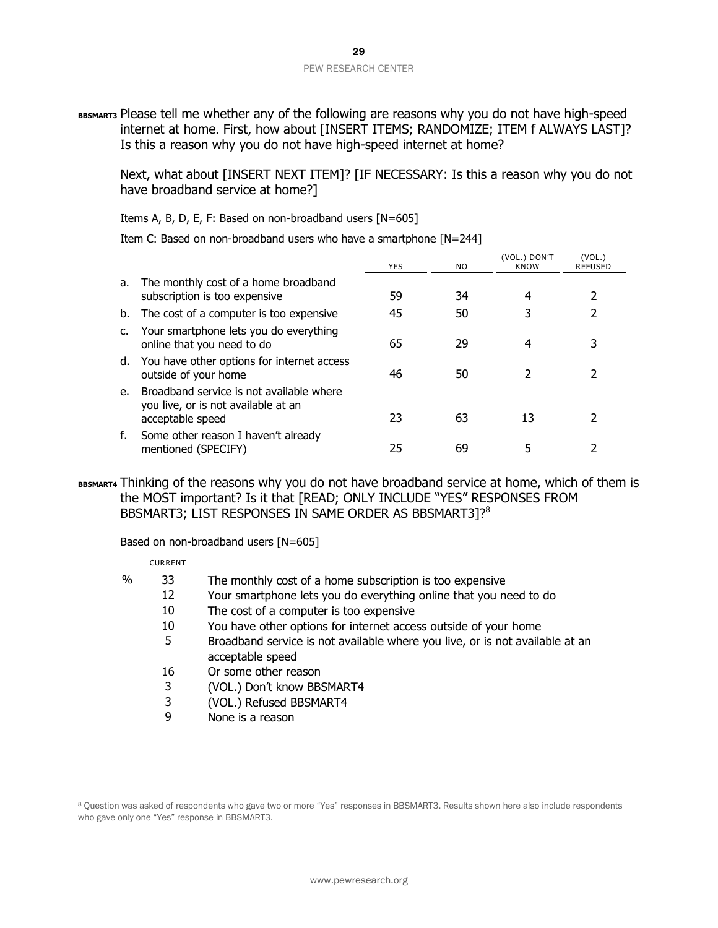**BBSMART3** Please tell me whether any of the following are reasons why you do not have high-speed internet at home. First, how about [INSERT ITEMS; RANDOMIZE; ITEM f ALWAYS LAST]? Is this a reason why you do not have high-speed internet at home?

Next, what about [INSERT NEXT ITEM]? [IF NECESSARY: Is this a reason why you do not have broadband service at home?]

Items A, B, D, E, F: Based on non-broadband users [N=605]

Item C: Based on non-broadband users who have a smartphone [N=244]

|    |                                                                                                        | <b>YES</b> | NO. | (VOL.) DON'T<br>KNOW | (VOL.)<br><b>REFUSED</b> |  |
|----|--------------------------------------------------------------------------------------------------------|------------|-----|----------------------|--------------------------|--|
| а. | The monthly cost of a home broadband<br>subscription is too expensive                                  | 59         | 34  | 4                    |                          |  |
| b. | The cost of a computer is too expensive                                                                | 45         | 50  |                      |                          |  |
| C. | Your smartphone lets you do everything<br>online that you need to do                                   | 65         | 29  | 4                    |                          |  |
|    | d. You have other options for internet access<br>outside of your home                                  | 46         | 50  |                      |                          |  |
|    | e. Broadband service is not available where<br>you live, or is not available at an<br>acceptable speed | 23         | 63  | 13                   |                          |  |
| f. | Some other reason I haven't already<br>mentioned (SPECIFY)                                             | 25         | 69  |                      |                          |  |

**BBSMART4** Thinking of the reasons why you do not have broadband service at home, which of them is the MOST important? Is it that [READ; ONLY INCLUDE "YES" RESPONSES FROM BBSMART3; LIST RESPONSES IN SAME ORDER AS BBSMART3]?<sup>8</sup>

Based on non-broadband users [N=605]

#### CURRENT

 $\overline{a}$ 

| % | The monthly cost of a home subscription is too expensive |  |
|---|----------------------------------------------------------|--|
|   |                                                          |  |

- 12 Your smartphone lets you do everything online that you need to do
- 10 The cost of a computer is too expensive
	- 10 You have other options for internet access outside of your home
	- 5 Broadband service is not available where you live, or is not available at an acceptable speed
	- 16 Or some other reason
	- 3 (VOL.) Don't know BBSMART4
	- 3 (VOL.) Refused BBSMART4
	- 9 None is a reason

<sup>8</sup> Question was asked of respondents who gave two or more "Yes" responses in BBSMART3. Results shown here also include respondents who gave only one "Yes" response in BBSMART3.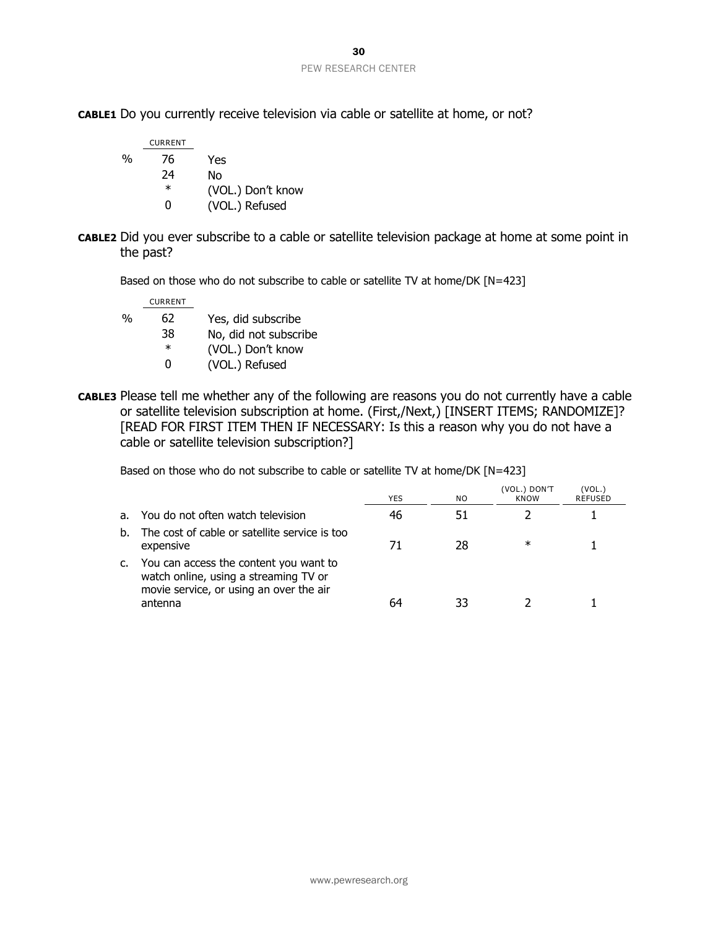**CABLE1** Do you currently receive television via cable or satellite at home, or not?

|   | <b>CURRENT</b> |                   |
|---|----------------|-------------------|
| % | 76             | Yes               |
|   | 24             | No                |
|   | $\ast$         | (VOL.) Don't know |
|   | O              | (VOL.) Refused    |

**CABLE2** Did you ever subscribe to a cable or satellite television package at home at some point in the past?

Based on those who do not subscribe to cable or satellite TV at home/DK [N=423]

CURRENT

- % 62 Yes, did subscribe
	- 38 No, did not subscribe
		- \* (VOL.) Don't know
		- 0 (VOL.) Refused
- **CABLE3** Please tell me whether any of the following are reasons you do not currently have a cable or satellite television subscription at home. (First,/Next,) [INSERT ITEMS; RANDOMIZE]? [READ FOR FIRST ITEM THEN IF NECESSARY: Is this a reason why you do not have a cable or satellite television subscription?]

Based on those who do not subscribe to cable or satellite TV at home/DK [N=423]

|    |                                                                                                                                       | YES | NO. | (VOL.) DON'T<br><b>KNOW</b> | (VOL.`<br><b>REFUSED</b> |
|----|---------------------------------------------------------------------------------------------------------------------------------------|-----|-----|-----------------------------|--------------------------|
| а. | You do not often watch television                                                                                                     |     |     |                             |                          |
| b. | The cost of cable or satellite service is too<br>expensive                                                                            |     | 28  | ж                           |                          |
| C. | You can access the content you want to<br>watch online, using a streaming TV or<br>movie service, or using an over the air<br>antenna |     |     |                             |                          |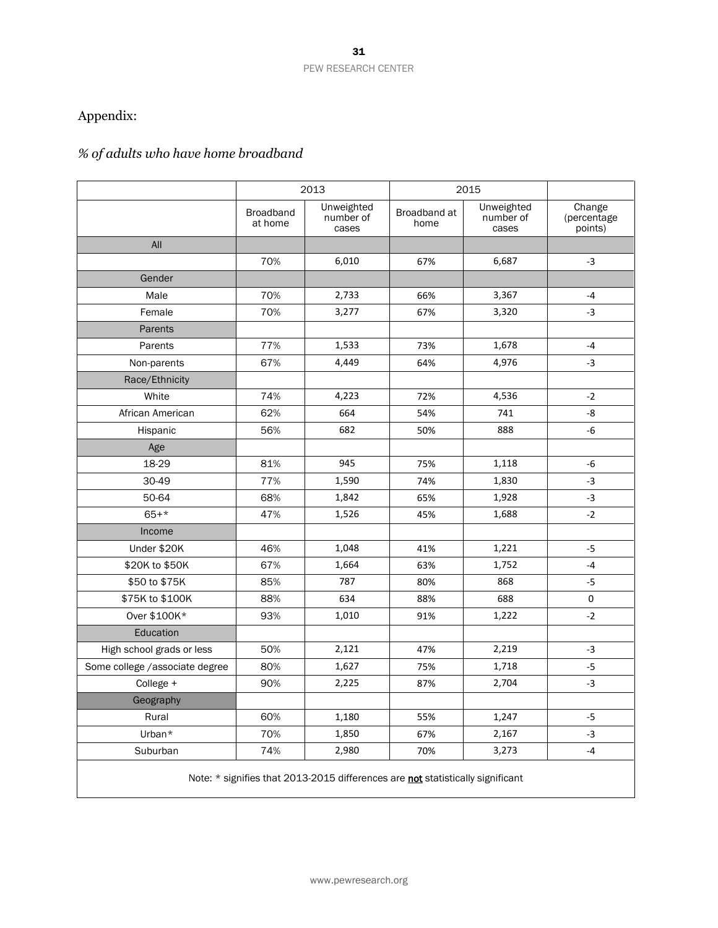### Appendix:

### *% of adults who have home broadband*

|                                                                                | 2013                        |                                  | 2015                 |                                  |                                  |  |  |  |
|--------------------------------------------------------------------------------|-----------------------------|----------------------------------|----------------------|----------------------------------|----------------------------------|--|--|--|
|                                                                                | <b>Broadband</b><br>at home | Unweighted<br>number of<br>cases | Broadband at<br>home | Unweighted<br>number of<br>cases | Change<br>(percentage<br>points) |  |  |  |
| All                                                                            |                             |                                  |                      |                                  |                                  |  |  |  |
|                                                                                | 70%                         | 6,010                            | 67%                  | 6,687                            | $-3$                             |  |  |  |
| Gender                                                                         |                             |                                  |                      |                                  |                                  |  |  |  |
| Male                                                                           | 70%                         | 2,733                            | 66%                  | 3,367                            | $-4$                             |  |  |  |
| Female                                                                         | 70%                         | 3,277                            | 67%                  | 3,320                            | $-3$                             |  |  |  |
| Parents                                                                        |                             |                                  |                      |                                  |                                  |  |  |  |
| Parents                                                                        | 77%                         | 1,533                            | 73%                  | 1,678                            | $-4$                             |  |  |  |
| Non-parents                                                                    | 67%                         | 4,449                            | 64%                  | 4,976                            | $-3$                             |  |  |  |
| Race/Ethnicity                                                                 |                             |                                  |                      |                                  |                                  |  |  |  |
| White                                                                          | 74%                         | 4,223                            | 72%                  | 4,536                            | $-2$                             |  |  |  |
| African American                                                               | 62%                         | 664                              | 54%                  | 741                              | -8                               |  |  |  |
| Hispanic                                                                       | 56%                         | 682                              | 50%                  | 888                              | $-6$                             |  |  |  |
| Age                                                                            |                             |                                  |                      |                                  |                                  |  |  |  |
| 18-29                                                                          | 81%                         | 945                              | 75%                  | 1,118                            | -6                               |  |  |  |
| 30-49                                                                          | 77%                         | 1,590                            | 74%                  | 1,830                            | $-3$                             |  |  |  |
| 50-64                                                                          | 68%                         | 1,842                            | 65%                  | 1,928                            | $-3$                             |  |  |  |
| $65 + *$                                                                       | 47%                         | 1,526                            | 45%                  | 1,688                            | $-2$                             |  |  |  |
| Income                                                                         |                             |                                  |                      |                                  |                                  |  |  |  |
| Under \$20K                                                                    | 46%                         | 1,048                            | 41%                  | 1,221                            | $-5$                             |  |  |  |
| \$20K to \$50K                                                                 | 67%                         | 1,664                            | 63%                  | 1,752                            | $-4$                             |  |  |  |
| \$50 to \$75K                                                                  | 85%                         | 787                              | 80%                  | 868                              | $-5$                             |  |  |  |
| \$75K to \$100K                                                                | 88%                         | 634                              | 88%                  | 688                              | 0                                |  |  |  |
| Over \$100K*                                                                   | 93%                         | 1,010                            | 91%                  | 1,222                            | $-2$                             |  |  |  |
| Education                                                                      |                             |                                  |                      |                                  |                                  |  |  |  |
| High school grads or less                                                      | 50%                         | 2,121                            | 47%                  | 2,219                            | $-3$                             |  |  |  |
| Some college /associate degree                                                 | 80%                         | 1,627                            | 75%                  | 1,718                            | $-5$                             |  |  |  |
| College +                                                                      | 90%                         | 2,225                            | 87%                  | 2,704                            | $-3$                             |  |  |  |
| Geography                                                                      |                             |                                  |                      |                                  |                                  |  |  |  |
| Rural                                                                          | 60%                         | 1,180                            | 55%                  | 1,247                            | -5                               |  |  |  |
| Urban*                                                                         | 70%                         | 1,850                            | 67%                  | 2,167                            | $-3$                             |  |  |  |
| Suburban                                                                       | 74%                         | 2,980                            | 70%                  | 3,273                            | $-4$                             |  |  |  |
| Note: * signifies that 2013-2015 differences are not statistically significant |                             |                                  |                      |                                  |                                  |  |  |  |